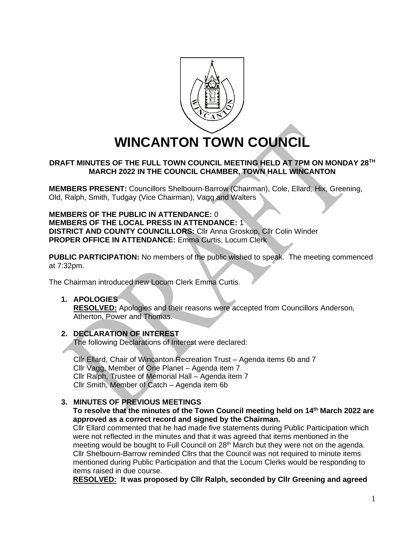

# **WINCANTON TOWN COUNCIL**

# **DRAFT MINUTES OF THE FULL TOWN COUNCIL MEETING HELD AT 7PM ON MONDAY 28TH MARCH 2022 IN THE COUNCIL CHAMBER, TOWN HALL WINCANTON**

**MEMBERS PRESENT:** Councillors Shelbourn-Barrow (Chairman), Cole, Ellard, Hix, Greening, Old, Ralph, Smith, Tudgay (Vice Chairman), Vagg and Walters

**MEMBERS OF THE PUBLIC IN ATTENDANCE:** 0 **MEMBERS OF THE LOCAL PRESS IN ATTENDANCE:** 1 **DISTRICT AND COUNTY COUNCILLORS:** Cllr Anna Groskop, Cllr Colin Winder **PROPER OFFICE IN ATTENDANCE:** Emma Curtis, Locum Clerk

**PUBLIC PARTICIPATION:** No members of the public wished to speak. The meeting commenced at 7:32pm.

The Chairman introduced new Locum Clerk Emma Curtis.

#### **1. APOLOGIES**

**RESOLVED:** Apologies and their reasons were accepted from Councillors Anderson, Atherton, Power and Thomas.

# **2. DECLARATION OF INTEREST**

The following Declarations of Interest were declared:

Cllr Ellard, Chair of Wincanton Recreation Trust – Agenda items 6b and 7 Cllr Vagg, Member of One Planet – Agenda item 7 Cllr Ralph, Trustee of Memorial Hall – Agenda item 7 Cllr Smith, Member of Catch – Agenda item 6b

# **3. MINUTES OF PREVIOUS MEETINGS**

#### **To resolve that the minutes of the Town Council meeting held on 14th March 2022 are approved as a correct record and signed by the Chairman.**

Cllr Ellard commented that he had made five statements during Public Participation which were not reflected in the minutes and that it was agreed that items mentioned in the meeting would be bought to Full Council on 28<sup>th</sup> March but they were not on the agenda. Cllr Shelbourn-Barrow reminded Cllrs that the Council was not required to minute items mentioned during Public Participation and that the Locum Clerks would be responding to items raised in due course.

**RESOLVED: It was proposed by Cllr Ralph, seconded by Cllr Greening and agreed**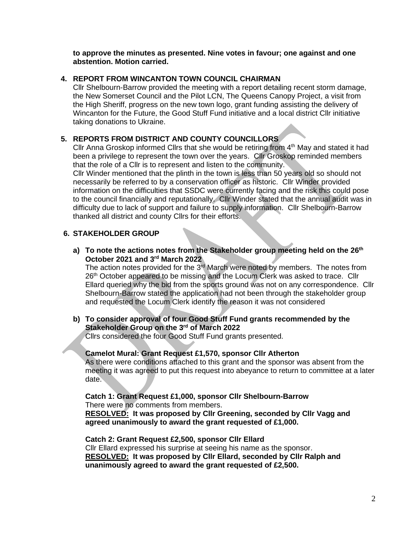**to approve the minutes as presented. Nine votes in favour; one against and one abstention. Motion carried.**

# **4. REPORT FROM WINCANTON TOWN COUNCIL CHAIRMAN**

Cllr Shelbourn-Barrow provided the meeting with a report detailing recent storm damage, the New Somerset Council and the Pilot LCN, The Queens Canopy Project, a visit from the High Sheriff, progress on the new town logo, grant funding assisting the delivery of Wincanton for the Future, the Good Stuff Fund initiative and a local district Cllr initiative taking donations to Ukraine.

# **5. REPORTS FROM DISTRICT AND COUNTY COUNCILLORS**

Cllr Anna Groskop informed Cllrs that she would be retiring from  $4<sup>th</sup>$  May and stated it had been a privilege to represent the town over the years. Cllr Groskop reminded members that the role of a Cllr is to represent and listen to the community.

Cllr Winder mentioned that the plinth in the town is less than 50 years old so should not necessarily be referred to by a conservation officer as historic. Cllr Winder provided information on the difficulties that SSDC were currently facing and the risk this could pose to the council financially and reputationally. Cllr Winder stated that the annual audit was in difficulty due to lack of support and failure to supply information. Cllr Shelbourn-Barrow thanked all district and county Cllrs for their efforts.

# **6. STAKEHOLDER GROUP**

**a) To note the actions notes from the Stakeholder group meeting held on the 26th October 2021 and 3 rd March 2022**

The action notes provided for the  $3<sup>rd</sup>$  March were noted by members. The notes from 26<sup>th</sup> October appeared to be missing and the Locum Clerk was asked to trace. Cllr Ellard queried why the bid from the sports ground was not on any correspondence. Cllr Shelbourn-Barrow stated the application had not been through the stakeholder group and requested the Locum Clerk identify the reason it was not considered

# **b) To consider approval of four Good Stuff Fund grants recommended by the Stakeholder Group on the 3rd of March 2022**

Cllrs considered the four Good Stuff Fund grants presented.

# **Camelot Mural: Grant Request £1,570, sponsor Cllr Atherton**

As there were conditions attached to this grant and the sponsor was absent from the meeting it was agreed to put this request into abeyance to return to committee at a later date.

# **Catch 1: Grant Request £1,000, sponsor Cllr Shelbourn-Barrow**

There were no comments from members.

**RESOLVED: It was proposed by Cllr Greening, seconded by Cllr Vagg and agreed unanimously to award the grant requested of £1,000.**

#### **Catch 2: Grant Request £2,500, sponsor Cllr Ellard**

Cllr Ellard expressed his surprise at seeing his name as the sponsor. **RESOLVED: It was proposed by Cllr Ellard, seconded by Cllr Ralph and unanimously agreed to award the grant requested of £2,500.**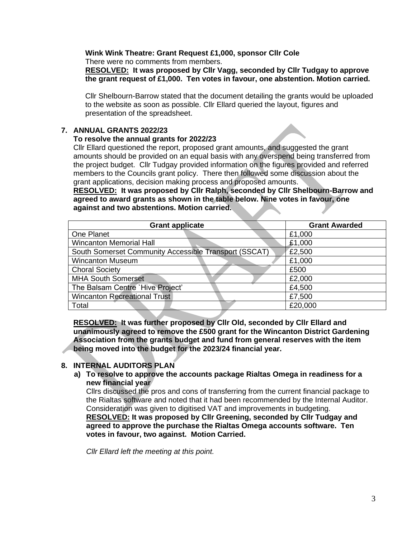# **Wink Wink Theatre: Grant Request £1,000, sponsor Cllr Cole**

There were no comments from members.

#### **RESOLVED: It was proposed by Cllr Vagg, seconded by Cllr Tudgay to approve the grant request of £1,000. Ten votes in favour, one abstention. Motion carried.**

Cllr Shelbourn-Barrow stated that the document detailing the grants would be uploaded to the website as soon as possible. Cllr Ellard queried the layout, figures and presentation of the spreadsheet.

# **7. ANNUAL GRANTS 2022/23**

# **To resolve the annual grants for 2022/23**

Cllr Ellard questioned the report, proposed grant amounts, and suggested the grant amounts should be provided on an equal basis with any overspend being transferred from the project budget. Cllr Tudgay provided information on the figures provided and referred members to the Councils grant policy. There then followed some discussion about the grant applications, decision making process and proposed amounts.

**RESOLVED: It was proposed by Cllr Ralph, seconded by Cllr Shelbourn-Barrow and agreed to award grants as shown in the table below. Nine votes in favour, one against and two abstentions. Motion carried.**

| <b>Grant applicate</b>                                | <b>Grant Awarded</b> |
|-------------------------------------------------------|----------------------|
| One Planet                                            | £1,000               |
| <b>Wincanton Memorial Hall</b>                        | £1,000               |
| South Somerset Community Accessible Transport (SSCAT) | £2,500               |
| <b>Wincanton Museum</b>                               | £1,000               |
| <b>Choral Society</b>                                 | £500                 |
| <b>MHA South Somerset</b>                             | £2,000               |
| The Balsam Centre 'Hive Project'                      | £4,500               |
| <b>Wincanton Recreational Trust</b>                   | £7,500               |
| Total                                                 | £20,000              |

**RESOLVED: It was further proposed by Cllr Old, seconded by Cllr Ellard and unanimously agreed to remove the £500 grant for the Wincanton District Gardening Association from the grants budget and fund from general reserves with the item being moved into the budget for the 2023/24 financial year.**

# **8. INTERNAL AUDITORS PLAN**

**a) To resolve to approve the accounts package Rialtas Omega in readiness for a new financial year**

Cllrs discussed the pros and cons of transferring from the current financial package to the Rialtas software and noted that it had been recommended by the Internal Auditor. Consideration was given to digitised VAT and improvements in budgeting. **RESOLVED: It was proposed by Cllr Greening, seconded by Cllr Tudgay and agreed to approve the purchase the Rialtas Omega accounts software. Ten votes in favour, two against. Motion Carried.**

*Cllr Ellard left the meeting at this point.*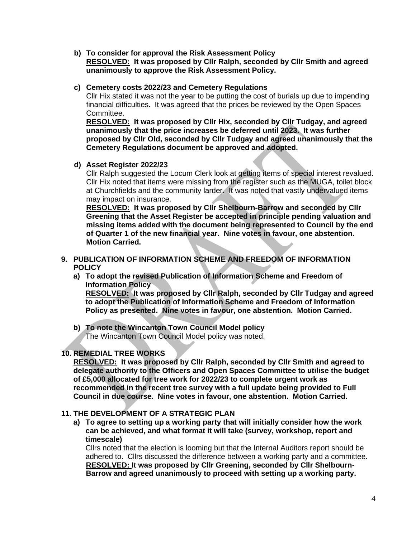**b) To consider for approval the Risk Assessment Policy RESOLVED: It was proposed by Cllr Ralph, seconded by Cllr Smith and agreed unanimously to approve the Risk Assessment Policy.**

# **c) Cemetery costs 2022/23 and Cemetery Regulations**

Cllr Hix stated it was not the year to be putting the cost of burials up due to impending financial difficulties. It was agreed that the prices be reviewed by the Open Spaces Committee.

**RESOLVED: It was proposed by Cllr Hix, seconded by Cllr Tudgay, and agreed unanimously that the price increases be deferred until 2023. It was further proposed by Cllr Old, seconded by Cllr Tudgay and agreed unanimously that the Cemetery Regulations document be approved and adopted.**

# **d) Asset Register 2022/23**

Cllr Ralph suggested the Locum Clerk look at getting items of special interest revalued. Cllr Hix noted that items were missing from the register such as the MUGA, toilet block at Churchfields and the community larder. It was noted that vastly undervalued items may impact on insurance.

**RESOLVED: It was proposed by Cllr Shelbourn-Barrow and seconded by Cllr Greening that the Asset Register be accepted in principle pending valuation and missing items added with the document being represented to Council by the end of Quarter 1 of the new financial year. Nine votes in favour, one abstention. Motion Carried.**

- **9. PUBLICATION OF INFORMATION SCHEME AND FREEDOM OF INFORMATION POLICY** 
	- **a) To adopt the revised Publication of Information Scheme and Freedom of Information Policy RESOLVED: It was proposed by Cllr Ralph, seconded by Cllr Tudgay and agreed**

**to adopt the Publication of Information Scheme and Freedom of Information Policy as presented. Nine votes in favour, one abstention. Motion Carried.**

**b) To note the Wincanton Town Council Model policy** The Wincanton Town Council Model policy was noted.

# **10. REMEDIAL TREE WORKS**

**RESOLVED: It was proposed by Cllr Ralph, seconded by Cllr Smith and agreed to delegate authority to the Officers and Open Spaces Committee to utilise the budget of £5,000 allocated for tree work for 2022/23 to complete urgent work as recommended in the recent tree survey with a full update being provided to Full Council in due course. Nine votes in favour, one abstention. Motion Carried.**

# **11. THE DEVELOPMENT OF A STRATEGIC PLAN**

**a) To agree to setting up a working party that will initially consider how the work can be achieved, and what format it will take (survey, workshop, report and timescale)**

Cllrs noted that the election is looming but that the Internal Auditors report should be adhered to. Cllrs discussed the difference between a working party and a committee. **RESOLVED: It was proposed by Cllr Greening, seconded by Cllr Shelbourn- Barrow and agreed unanimously to proceed with setting up a working party.**